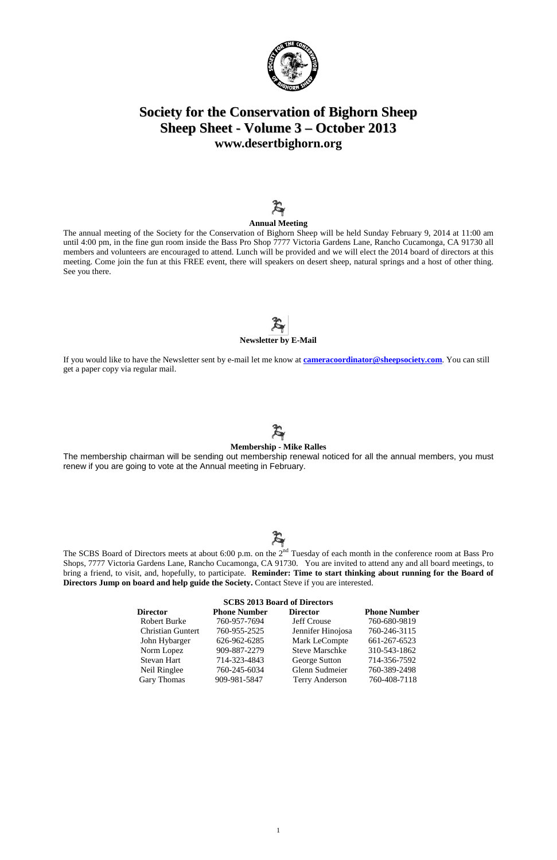1



# **Society for the Conservation of Bighorn Sheep Sheep Sheet - Volume 3 – October 2013 [www.desertbighorn.org](http://www.desertbighorn.org/)**

# $\boldsymbol{\mathcal{F}}$

#### **Annual Meeting**

The annual meeting of the Society for the Conservation of Bighorn Sheep will be held Sunday February 9, 2014 at 11:00 am until 4:00 pm, in the fine gun room inside the Bass Pro Shop 7777 Victoria Gardens Lane, Rancho Cucamonga, CA 91730 all members and volunteers are encouraged to attend. Lunch will be provided and we will elect the 2014 board of directors at this meeting. Come join the fun at this FREE event, there will speakers on desert sheep, natural springs and a host of other thing. See you there.

# **Newsletter by E-Mail**

The SCBS Board of Directors meets at about 6:00 p.m. on the 2<sup>nd</sup> Tuesday of each month in the conference room at Bass Pro Shops, 7777 Victoria Gardens Lane, Rancho Cucamonga, CA 91730. You are invited to attend any and all board meetings, to bring a friend, to visit, and, hopefully, to participate. **Reminder: Time to start thinking about running for the Board of Directors Jump on board and help guide the Society.** Contact Steve if you are interested.

If you would like to have the Newsletter sent by e-mail let me know at **[cameracoordinator@sheepsociety.com](mailto:cameracoordinator@sheepsociety.com)**. You can still get a paper copy via regular mail.

# $\boldsymbol{\mathcal{F}}$

#### **Membership - Mike Ralles**

The membership chairman will be sending out membership renewal noticed for all the annual members, you must renew if you are going to vote at the Annual meeting in February.

# $\boldsymbol{\mathcal{Z}}$

| <b>SCBS 2013 Board of Directors</b> |                     |                 |                     |  |  |  |
|-------------------------------------|---------------------|-----------------|---------------------|--|--|--|
| <b>Director</b>                     | <b>Phone Number</b> | <b>Director</b> | <b>Phone Number</b> |  |  |  |

Robert Burke 760-957-7694 Jeff Crouse 760-680-9819

| <b>Christian Guntert</b> | 760-955-2525 | Jennifer Hinojosa     | 760-246-3115 |
|--------------------------|--------------|-----------------------|--------------|
| John Hybarger            | 626-962-6285 | Mark LeCompte         | 661-267-6523 |
| Norm Lopez               | 909-887-2279 | <b>Steve Marschke</b> | 310-543-1862 |
| Stevan Hart              | 714-323-4843 | George Sutton         | 714-356-7592 |
| Neil Ringlee             | 760-245-6034 | Glenn Sudmeier        | 760-389-2498 |
| <b>Gary Thomas</b>       | 909-981-5847 | <b>Terry Anderson</b> | 760-408-7118 |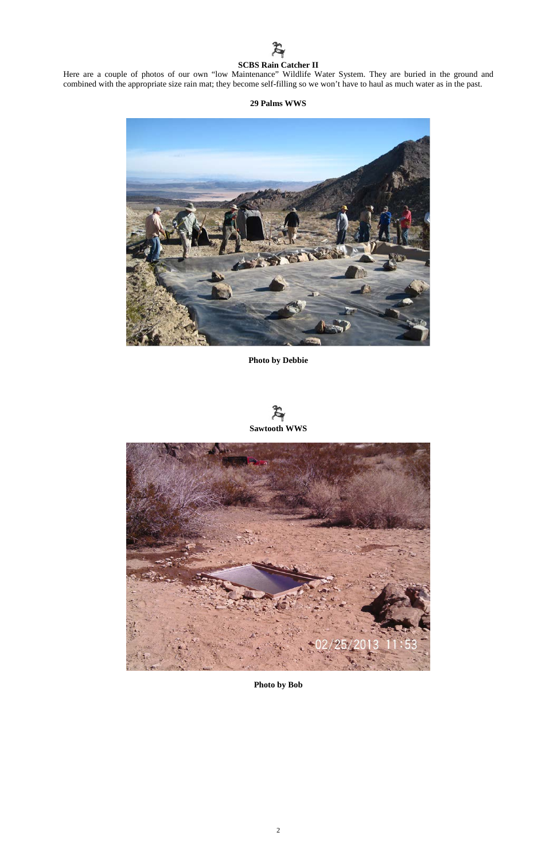## $\boldsymbol{\mathcal{Z}}$ **SCBS Rain Catcher II**

Here are a couple of photos of our own "low Maintenance" Wildlife Water System. They are buried in the ground and combined with the appropriate size rain mat; they become self-filling so we won't have to haul as much water as in the past.

#### **29 Palms WWS**



**Photo by Debbie**







**Photo by Bob**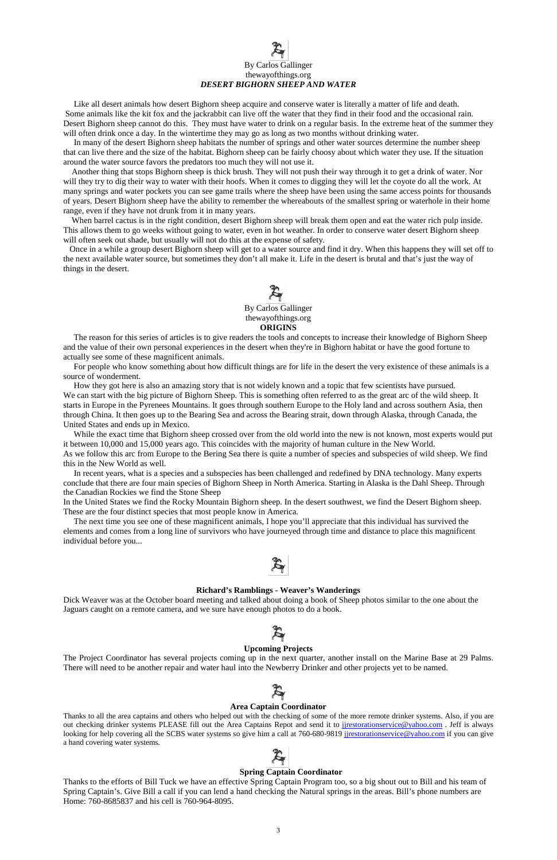Like all desert animals how desert Bighorn sheep acquire and conserve water is literally a matter of life and death. Some animals like the kit fox and the jackrabbit can live off the water that they find in their food and the occasional rain. Desert Bighorn sheep cannot do this. They must have water to drink on a regular basis. In the extreme heat of the summer they will often drink once a day. In the wintertime they may go as long as two months without drinking water.

# By Carlos Gallinger thewayofthings.org *DESERT BIGHORN SHEEP AND WATER*

 In many of the desert Bighorn sheep habitats the number of springs and other water sources determine the number sheep that can live there and the size of the habitat. Bighorn sheep can be fairly choosy about which water they use. If the situation around the water source favors the predators too much they will not use it.

 Another thing that stops Bighorn sheep is thick brush. They will not push their way through it to get a drink of water. Nor will they try to dig their way to water with their hoofs. When it comes to digging they will let the coyote do all the work. At many springs and water pockets you can see game trails where the sheep have been using the same access points for thousands of years. Desert Bighorn sheep have the ability to remember the whereabouts of the smallest spring or waterhole in their home range, even if they have not drunk from it in many years.

 When barrel cactus is in the right condition, desert Bighorn sheep will break them open and eat the water rich pulp inside. This allows them to go weeks without going to water, even in hot weather. In order to conserve water desert Bighorn sheep will often seek out shade, but usually will not do this at the expense of safety.

 Once in a while a group desert Bighorn sheep will get to a water source and find it dry. When this happens they will set off to the next available water source, but sometimes they don't all make it. Life in the desert is brutal and that's just the way of things in the desert.



 By Carlos Gallinger thewayofthings.org **ORIGINS**

 The reason for this series of articles is to give readers the tools and concepts to increase their knowledge of Bighorn Sheep and the value of their own personal experiences in the desert when they're in Bighorn habitat or have the good fortune to actually see some of these magnificent animals.

 For people who know something about how difficult things are for life in the desert the very existence of these animals is a source of wonderment.

 How they got here is also an amazing story that is not widely known and a topic that few scientists have pursued. We can start with the big picture of Bighorn Sheep. This is something often referred to as the great arc of the wild sheep. It starts in Europe in the Pyrenees Mountains. It goes through southern Europe to the Holy land and across southern Asia, then through China. It then goes up to the Bearing Sea and across the Bearing strait, down through Alaska, through Canada, the United States and ends up in Mexico.

 While the exact time that Bighorn sheep crossed over from the old world into the new is not known, most experts would put it between 10,000 and 15,000 years ago. This coincides with the majority of human culture in the New World. As we follow this arc from Europe to the Bering Sea there is quite a number of species and subspecies of wild sheep. We find this in the New World as well.

 In recent years, what is a species and a subspecies has been challenged and redefined by DNA technology. Many experts conclude that there are four main species of Bighorn Sheep in North America. Starting in Alaska is the Dahl Sheep. Through the Canadian Rockies we find the Stone Sheep

In the United States we find the Rocky Mountain Bighorn sheep. In the desert southwest, we find the Desert Bighorn sheep. These are the four distinct species that most people know in America.

 The next time you see one of these magnificent animals, I hope you'll appreciate that this individual has survived the elements and comes from a long line of survivors who have journeyed through time and distance to place this magnificent individual before you...



#### **Richard's Ramblings - Weaver's Wanderings**

Dick Weaver was at the October board meeting and talked about doing a book of Sheep photos similar to the one about the Jaguars caught on a remote camera, and we sure have enough photos to do a book.

#### **Upcoming Projects**

The Project Coordinator has several projects coming up in the next quarter, another install on the Marine Base at 29 Palms. There will need to be another repair and water haul into the Newberry Drinker and other projects yet to be named.

#### **Area Captain Coordinator**

Thanks to all the area captains and others who helped out with the checking of some of the more remote drinker systems. Also, if you are out checking drinker systems PLEASE fill out the Area Captains Repot and send it to [jjrestorationservice@yahoo.com](mailto:jjrestorationservice@yahoo.com) . Jeff is always looking for help covering all the SCBS water systems so give him a call at 760-680-9819 junestorationservice@yahoo.com if you can give a hand covering water systems.

#### **Spring Captain Coordinator**

Thanks to the efforts of Bill Tuck we have an effective Spring Captain Program too, so a big shout out to Bill and his team of Spring Captain's. Give Bill a call if you can lend a hand checking the Natural springs in the areas. Bill's phone numbers are Home: 760-8685837 and his cell is 760-964-8095.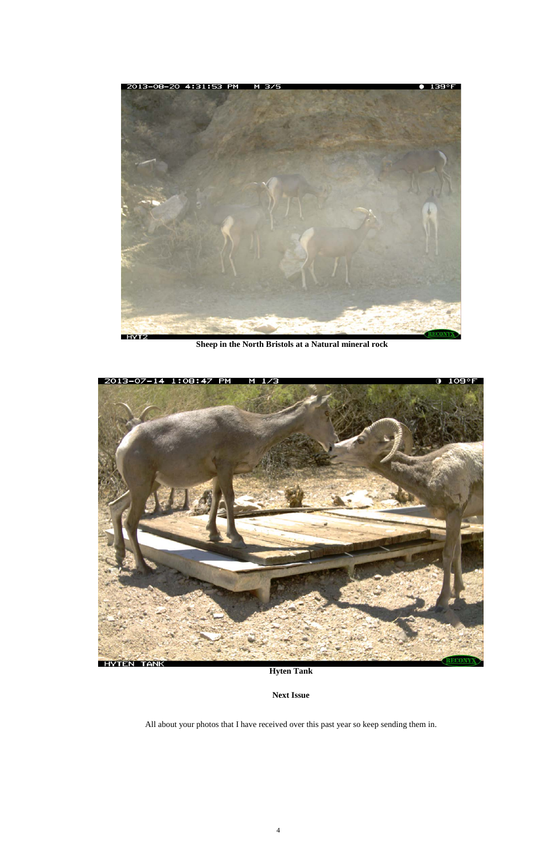

**Sheep in the North Bristols at a Natural mineral rock** 



### **Hyten Tank**

### **Next Issue**

### All about your photos that I have received over this past year so keep sending them in.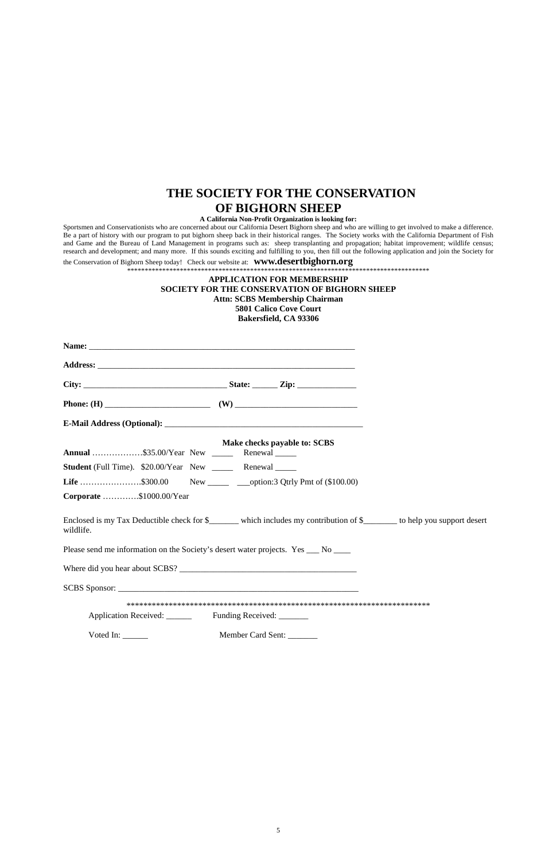### **THE SOCIETY FOR THE CONSERVATION OF BIGHORN SHEEP**

#### **A California Non-Profit Organization is looking for:**

Sportsmen and Conservationists who are concerned about our California Desert Bighorn sheep and who are willing to get involved to make a difference. Be a part of history with our program to put bighorn sheep back in their historical ranges. The Society works with the California Department of Fish and Game and the Bureau of Land Management in programs such as: sheep transplanting and propagation; habitat improvement; wildlife census; research and development; and many more. If this sounds exciting and fulfilling to you, then fill out the following application and join the Society for

| <b>Annual</b> \$35.00/Year New _______ Renewal ______                                                                               | Make checks payable to: SCBS |  |
|-------------------------------------------------------------------------------------------------------------------------------------|------------------------------|--|
| <b>Student</b> (Full Time). \$20.00/Year New _______ Renewal ______                                                                 |                              |  |
| <b>Life</b> \$300.00 New ________ ___option:3 Qtrly Pmt of (\$100.00)                                                               |                              |  |
| Corporate \$1000.00/Year                                                                                                            |                              |  |
| Enclosed is my Tax Deductible check for \$______ which includes my contribution of \$______ to help you support desert<br>wildlife. |                              |  |
| Please send me information on the Society's desert water projects. Yes ___ No ___                                                   |                              |  |
|                                                                                                                                     |                              |  |
| SCBS Sponsor:                                                                                                                       |                              |  |
|                                                                                                                                     |                              |  |
| Application Received: Funding Received: _____                                                                                       |                              |  |

the Conservation of Bighorn Sheep today! Check our website at: **www.desertbighorn.org** \*\*\*\*\*\*\*\*\*\*\*\*\*\*\*\*\*\*\*\*\*\*\*\*\*\*\*\*\*\*\*\*\*\*\*\*\*\*\*\*\*\*\*\*\*\*\*\*\*\*\*\*\*\*\*\*\*\*\*\*\*\*\*\*\*\*\*\*\*\*\*\*\*\*\*\*\*\*\*\*\*\*\*\*\*\*

**APPLICATION FOR MEMBERSHIP** 

**SOCIETY FOR THE CONSERVATION OF BIGHORN SHEEP Attn: SCBS Membership Chairman 5801 Calico Cove Court Bakersfield, CA 93306**

Voted In: \_\_\_\_\_\_ Member Card Sent: \_\_\_\_\_\_\_